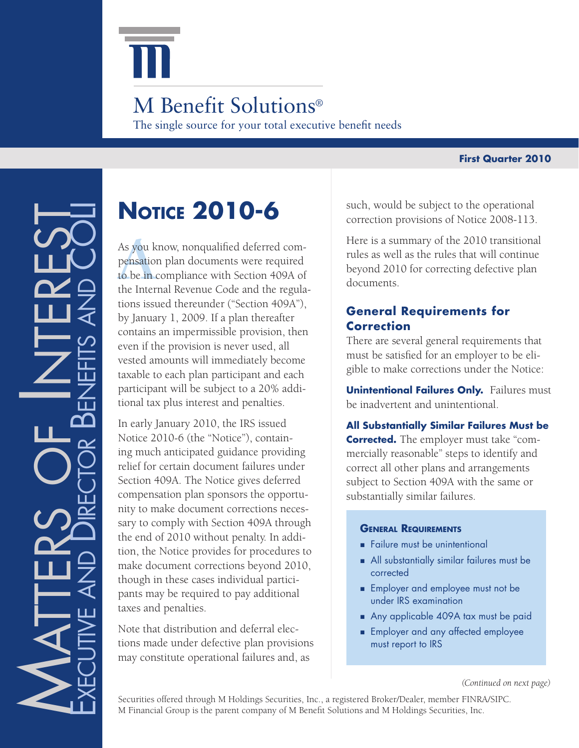

## The single source for your total executive benefit needs M Benefit Solutions<sup>®</sup>

#### **First Quarter 2010**

# **Notice 2010-6**

As you k<br>pensation<br>to be in c<br>the Inter As you know, nonqualified deferred compensation plan documents were required to be in compliance with Section 409A of the Internal Revenue Code and the regulations issued thereunder ("Section 409A"), by January 1, 2009. If a plan thereafter contains an impermissible provision, then even if the provision is never used, all vested amounts will immediately become taxable to each plan participant and each participant will be subject to a 20% additional tax plus interest and penalties.

In early January 2010, the IRS issued Notice 2010-6 (the "Notice"), containing much anticipated guidance providing relief for certain document failures under Section 409A. The Notice gives deferred compensation plan sponsors the opportunity to make document corrections necessary to comply with Section 409A through the end of 2010 without penalty. In addition, the Notice provides for procedures to make document corrections beyond 2010, though in these cases individual participants may be required to pay additional taxes and penalties.

Note that distribution and deferral elections made under defective plan provisions may constitute operational failures and, as

such, would be subject to the operational correction provisions of Notice 2008-113.

Here is a summary of the 2010 transitional rules as well as the rules that will continue beyond 2010 for correcting defective plan documents.

## **General Requirements for Correction**

There are several general requirements that must be satisfied for an employer to be eligible to make corrections under the Notice:

**Unintentional Failures Only.** Failures must be inadvertent and unintentional.

**All Substantially Similar Failures Must be Corrected.** The employer must take "commercially reasonable'' steps to identify and correct all other plans and arrangements subject to Section 409A with the same or substantially similar failures.

#### **General Requirements**

- Failure must be unintentional
- All substantially similar failures must be corrected
- **Employer and employee must not be** under IRS examination
- Any applicable 409A tax must be paid
- **Employer and any affected employee** must report to IRS

*(Continued on next page)*

Securities offered through M Holdings Securities, Inc., a registered Broker/Dealer, member FINRA/SIPC. M Financial Group is the parent company of M Benefit Solutions and M Holdings Securities, Inc.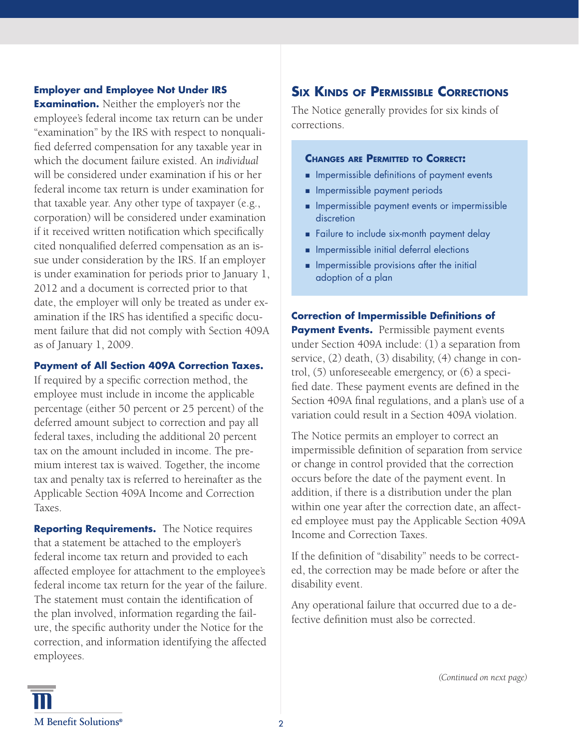### **Employer and Employee Not Under IRS**

**Examination.** Neither the employer's nor the employee's federal income tax return can be under "examination" by the IRS with respect to nonqualified deferred compensation for any taxable year in which the document failure existed. An *individual* will be considered under examination if his or her federal income tax return is under examination for that taxable year. Any other type of taxpayer (e.g., corporation) will be considered under examination if it received written notification which specifically cited nonqualified deferred compensation as an issue under consideration by the IRS. If an employer is under examination for periods prior to January 1, 2012 and a document is corrected prior to that date, the employer will only be treated as under examination if the IRS has identified a specific document failure that did not comply with Section 409A as of January 1, 2009.

#### **Payment of All Section 409A Correction Taxes.**

If required by a specific correction method, the employee must include in income the applicable percentage (either 50 percent or 25 percent) of the deferred amount subject to correction and pay all federal taxes, including the additional 20 percent tax on the amount included in income. The premium interest tax is waived. Together, the income tax and penalty tax is referred to hereinafter as the Applicable Section 409A Income and Correction Taxes.

**Reporting Requirements.** The Notice requires that a statement be attached to the employer's federal income tax return and provided to each affected employee for attachment to the employee's federal income tax return for the year of the failure. The statement must contain the identification of the plan involved, information regarding the failure, the specific authority under the Notice for the correction, and information identifying the affected employees.

## **Six Kinds of Permissible Corrections**

The Notice generally provides for six kinds of corrections.

#### **Changes are Permitted to Correct:**

- **IMPERMISSE DEFINITIONS** of payment events
- **n** Impermissible payment periods
- **n** Impermissible payment events or impermissible discretion
- **Failure to include six-month payment delay**
- **n** Impermissible initial deferral elections
- **n** Impermissible provisions after the initial adoption of a plan

**Correction of Impermissible Definitions of Payment Events.** Permissible payment events under Section 409A include: (1) a separation from service, (2) death, (3) disability, (4) change in control, (5) unforeseeable emergency, or (6) a specified date. These payment events are defined in the Section 409A final regulations, and a plan's use of a variation could result in a Section 409A violation.

The Notice permits an employer to correct an impermissible definition of separation from service or change in control provided that the correction occurs before the date of the payment event. In addition, if there is a distribution under the plan within one year after the correction date, an affected employee must pay the Applicable Section 409A Income and Correction Taxes.

If the definition of "disability" needs to be corrected, the correction may be made before or after the disability event.

Any operational failure that occurred due to a defective definition must also be corrected.

*(Continued on next page)*

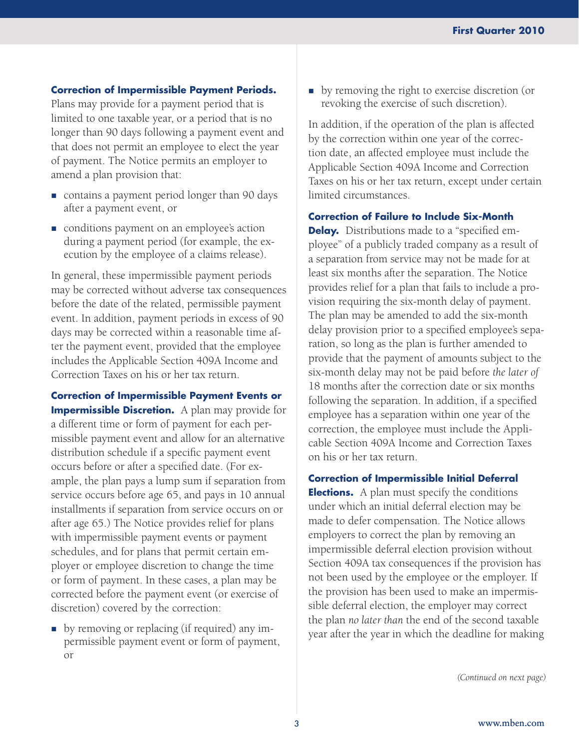#### **Correction of Impermissible Payment Periods.**

Plans may provide for a payment period that is limited to one taxable year, or a period that is no longer than 90 days following a payment event and that does not permit an employee to elect the year of payment. The Notice permits an employer to amend a plan provision that:

- contains a payment period longer than 90 days after a payment event, or
- conditions payment on an employee's action during a payment period (for example, the execution by the employee of a claims release).

In general, these impermissible payment periods may be corrected without adverse tax consequences before the date of the related, permissible payment event. In addition, payment periods in excess of 90 days may be corrected within a reasonable time after the payment event, provided that the employee includes the Applicable Section 409A Income and Correction Taxes on his or her tax return.

**Correction of Impermissible Payment Events or Impermissible Discretion.** A plan may provide for a different time or form of payment for each permissible payment event and allow for an alternative distribution schedule if a specific payment event occurs before or after a specified date. (For example, the plan pays a lump sum if separation from service occurs before age 65, and pays in 10 annual installments if separation from service occurs on or after age 65.) The Notice provides relief for plans with impermissible payment events or payment schedules, and for plans that permit certain employer or employee discretion to change the time or form of payment. In these cases, a plan may be corrected before the payment event (or exercise of discretion) covered by the correction:

by removing or replacing (if required) any impermissible payment event or form of payment, or

by removing the right to exercise discretion (or revoking the exercise of such discretion).

In addition, if the operation of the plan is affected by the correction within one year of the correction date, an affected employee must include the Applicable Section 409A Income and Correction Taxes on his or her tax return, except under certain limited circumstances.

**Correction of Failure to Include Six-Month** 

**Delay.** Distributions made to a "specified employee'' of a publicly traded company as a result of a separation from service may not be made for at least six months after the separation. The Notice provides relief for a plan that fails to include a provision requiring the six-month delay of payment. The plan may be amended to add the six-month delay provision prior to a specified employee's separation, so long as the plan is further amended to provide that the payment of amounts subject to the six-month delay may not be paid before *the later of*  18 months after the correction date or six months following the separation. In addition, if a specified employee has a separation within one year of the correction, the employee must include the Applicable Section 409A Income and Correction Taxes on his or her tax return.

**Correction of Impermissible Initial Deferral** 

**Elections.** A plan must specify the conditions under which an initial deferral election may be made to defer compensation. The Notice allows employers to correct the plan by removing an impermissible deferral election provision without Section 409A tax consequences if the provision has not been used by the employee or the employer. If the provision has been used to make an impermissible deferral election, the employer may correct the plan *no later than* the end of the second taxable year after the year in which the deadline for making

*(Continued on next page)*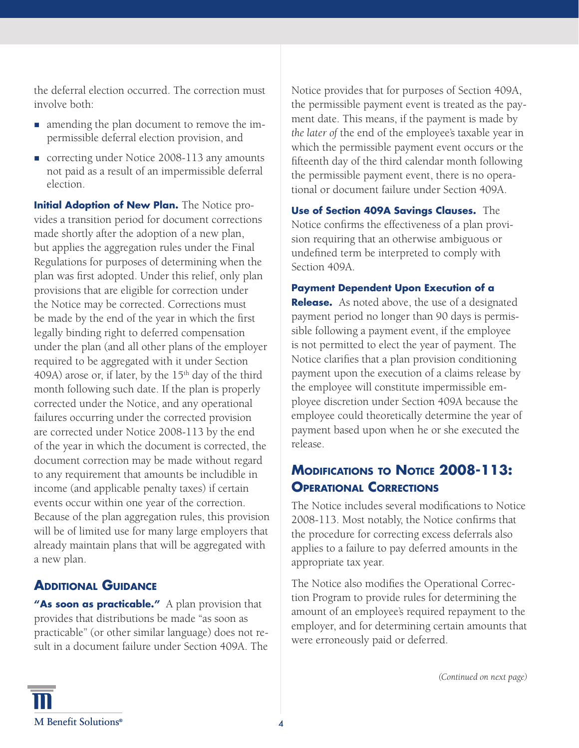the deferral election occurred. The correction must involve both:

- amending the plan document to remove the impermissible deferral election provision, and
- correcting under Notice 2008-113 any amounts not paid as a result of an impermissible deferral election.

**Initial Adoption of New Plan.** The Notice provides a transition period for document corrections made shortly after the adoption of a new plan, but applies the aggregation rules under the Final Regulations for purposes of determining when the plan was first adopted. Under this relief, only plan provisions that are eligible for correction under the Notice may be corrected. Corrections must be made by the end of the year in which the first legally binding right to deferred compensation under the plan (and all other plans of the employer required to be aggregated with it under Section 409A) arose or, if later, by the  $15<sup>th</sup>$  day of the third month following such date. If the plan is properly corrected under the Notice, and any operational failures occurring under the corrected provision are corrected under Notice 2008-113 by the end of the year in which the document is corrected, the document correction may be made without regard to any requirement that amounts be includible in income (and applicable penalty taxes) if certain events occur within one year of the correction. Because of the plan aggregation rules, this provision will be of limited use for many large employers that already maintain plans that will be aggregated with a new plan.

## **Additional Guidance**

"As soon as **practicable."** A plan provision that provides that distributions be made "as soon as practicable" (or other similar language) does not result in a document failure under Section 409A. The Notice provides that for purposes of Section 409A, the permissible payment event is treated as the payment date. This means, if the payment is made by *the later of* the end of the employee's taxable year in which the permissible payment event occurs or the fifteenth day of the third calendar month following the permissible payment event, there is no operational or document failure under Section 409A.

**Use of Section 409A Savings Clauses.** The Notice confirms the effectiveness of a plan provision requiring that an otherwise ambiguous or undefined term be interpreted to comply with Section 409A.

**Payment Dependent Upon Execution of a Release.** As noted above, the use of a designated payment period no longer than 90 days is permissible following a payment event, if the employee is not permitted to elect the year of payment. The Notice clarifies that a plan provision conditioning payment upon the execution of a claims release by the employee will constitute impermissible employee discretion under Section 409A because the employee could theoretically determine the year of payment based upon when he or she executed the release.

## **Modifications to Notice 2008-113: Operational Corrections**

The Notice includes several modifications to Notice 2008-113. Most notably, the Notice confirms that the procedure for correcting excess deferrals also applies to a failure to pay deferred amounts in the appropriate tax year.

The Notice also modifies the Operational Correction Program to provide rules for determining the amount of an employee's required repayment to the employer, and for determining certain amounts that were erroneously paid or deferred.

*(Continued on next page)*

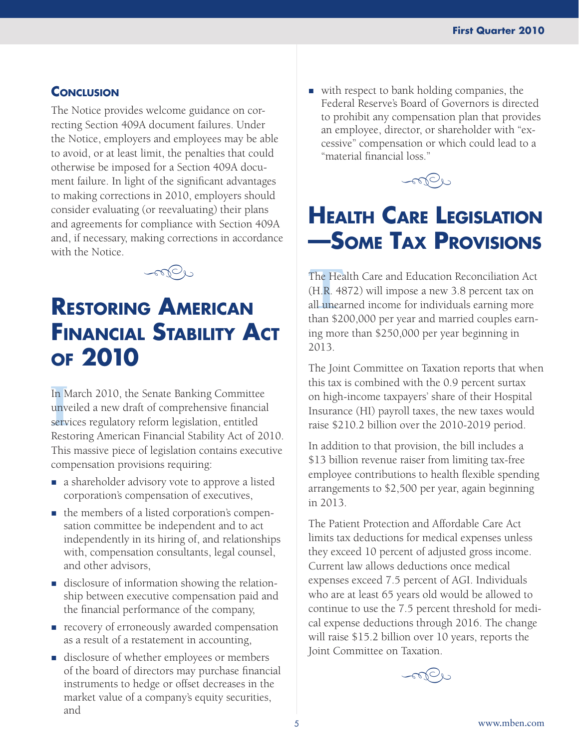## **CONCLUSION**

The Notice provides welcome guidance on correcting Section 409A document failures. Under the Notice, employers and employees may be able to avoid, or at least limit, the penalties that could otherwise be imposed for a Section 409A document failure. In light of the significant advantages to making corrections in 2010, employers should consider evaluating (or reevaluating) their plans and agreements for compliance with Section 409A and, if necessary, making corrections in accordance with the Notice.



## **Restoring American Financial Stability Act of 2010**

In M<br>unve<br>servi<br>Rest In March 2010, the Senate Banking Committee unveiled a new draft of comprehensive financial services regulatory reform legislation, entitled Restoring American Financial Stability Act of 2010. This massive piece of legislation contains executive compensation provisions requiring:

- a shareholder advisory vote to approve a listed corporation's compensation of executives,
- $\blacksquare$  the members of a listed corporation's compensation committee be independent and to act independently in its hiring of, and relationships with, compensation consultants, legal counsel, and other advisors,
- disclosure of information showing the relationship between executive compensation paid and the financial performance of the company,
- **recovery of erroneously awarded compensation** as a result of a restatement in accounting,
- disclosure of whether employees or members of the board of directors may purchase financial instruments to hedge or offset decreases in the market value of a company's equity securities, and

■ with respect to bank holding companies, the Federal Reserve's Board of Governors is directed to prohibit any compensation plan that provides an employee, director, or shareholder with "excessive" compensation or which could lead to a "material financial loss."



## **Health Care Legislation —Some Tax Provisions**

The Hea<br>(H.R. 48<br>all unear<br>than \$20 The Health Care and Education Reconciliation Act (H.R. 4872) will impose a new 3.8 percent tax on all unearned income for individuals earning more than \$200,000 per year and married couples earning more than \$250,000 per year beginning in 2013.

The Joint Committee on Taxation reports that when this tax is combined with the 0.9 percent surtax on high-income taxpayers' share of their Hospital Insurance (HI) payroll taxes, the new taxes would raise \$210.2 billion over the 2010-2019 period.

In addition to that provision, the bill includes a \$13 billion revenue raiser from limiting tax-free employee contributions to health flexible spending arrangements to \$2,500 per year, again beginning in 2013.

The Patient Protection and Affordable Care Act limits tax deductions for medical expenses unless they exceed 10 percent of adjusted gross income. Current law allows deductions once medical expenses exceed 7.5 percent of AGI. Individuals who are at least 65 years old would be allowed to continue to use the 7.5 percent threshold for medical expense deductions through 2016. The change will raise \$15.2 billion over 10 years, reports the Joint Committee on Taxation.

 $\sim$